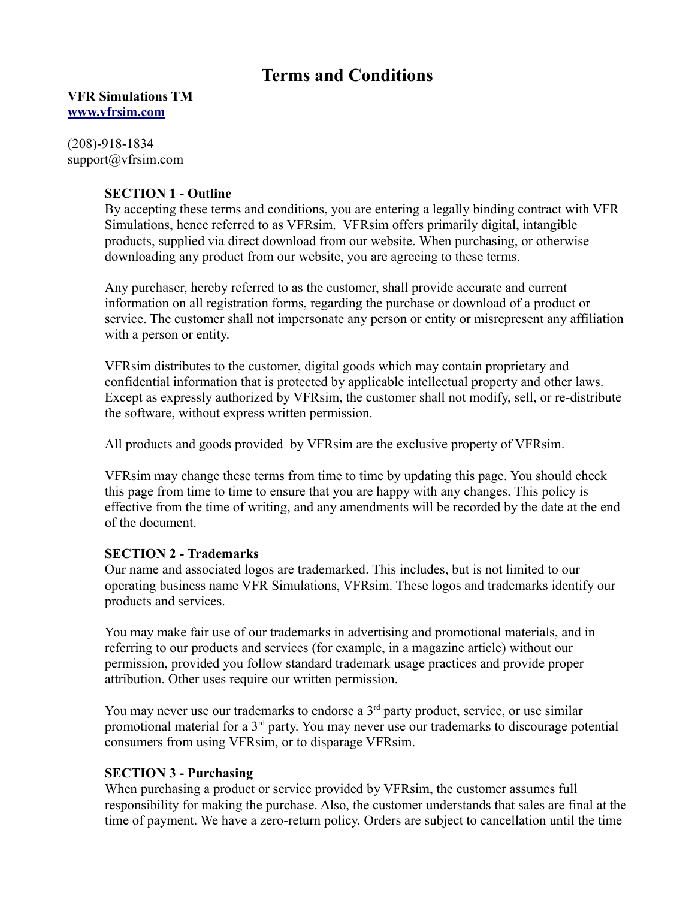# **Terms and Conditions**

**VFR Simulations TM [www.vfrsim.com](http://www.vfrsim.com/)**

(208)-918-1834 support@vfrsim.com

## **SECTION 1 - Outline**

By accepting these terms and conditions, you are entering a legally binding contract with VFR Simulations, hence referred to as VFRsim. VFRsim offers primarily digital, intangible products, supplied via direct download from our website. When purchasing, or otherwise downloading any product from our website, you are agreeing to these terms.

Any purchaser, hereby referred to as the customer, shall provide accurate and current information on all registration forms, regarding the purchase or download of a product or service. The customer shall not impersonate any person or entity or misrepresent any affiliation with a person or entity.

VFRsim distributes to the customer, digital goods which may contain proprietary and confidential information that is protected by applicable intellectual property and other laws. Except as expressly authorized by VFRsim, the customer shall not modify, sell, or re-distribute the software, without express written permission.

All products and goods provided by VFRsim are the exclusive property of VFRsim.

VFRsim may change these terms from time to time by updating this page. You should check this page from time to time to ensure that you are happy with any changes. This policy is effective from the time of writing, and any amendments will be recorded by the date at the end of the document.

#### **SECTION 2 - Trademarks**

Our name and associated logos are trademarked. This includes, but is not limited to our operating business name VFR Simulations, VFRsim. These logos and trademarks identify our products and services.

You may make fair use of our trademarks in advertising and promotional materials, and in referring to our products and services (for example, in a magazine article) without our permission, provided you follow standard trademark usage practices and provide proper attribution. Other uses require our written permission.

You may never use our trademarks to endorse a  $3<sup>rd</sup>$  party product, service, or use similar promotional material for a 3rd party. You may never use our trademarks to discourage potential consumers from using VFRsim, or to disparage VFRsim.

#### **SECTION 3 - Purchasing**

When purchasing a product or service provided by VFRsim, the customer assumes full responsibility for making the purchase. Also, the customer understands that sales are final at the time of payment. We have a zero-return policy. Orders are subject to cancellation until the time